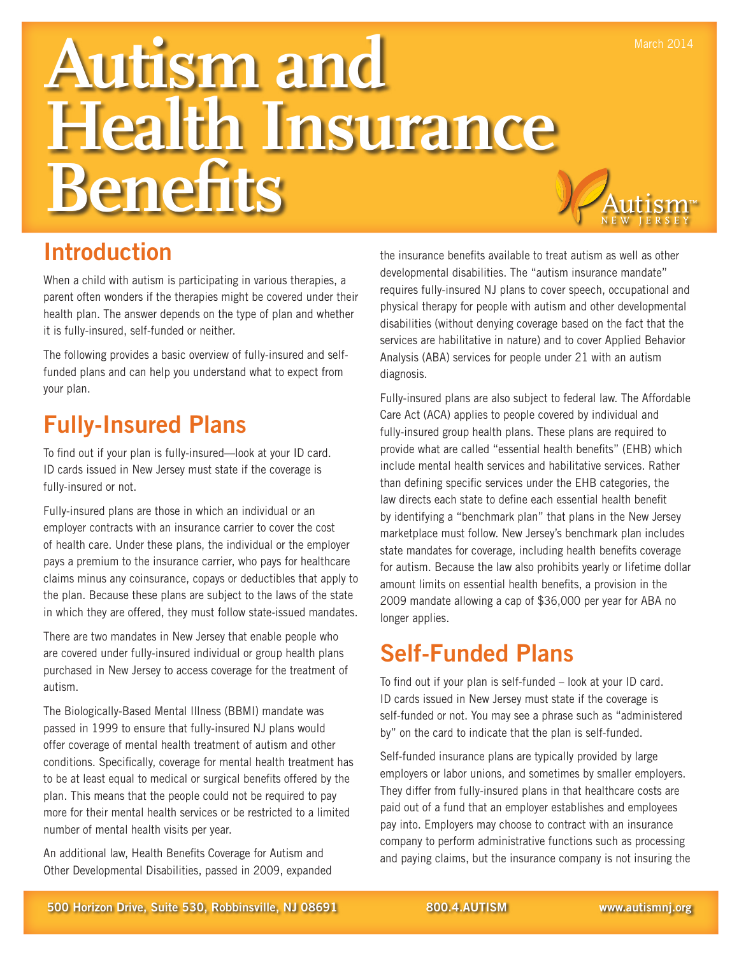# **Autism and Health Insurance Benefits**



### Introduction

When a child with autism is participating in various therapies, a parent often wonders if the therapies might be covered under their health plan. The answer depends on the type of plan and whether it is fully-insured, self-funded or neither.

The following provides a basic overview of fully-insured and selffunded plans and can help you understand what to expect from your plan.

### Fully-Insured Plans

To find out if your plan is fully-insured—look at your ID card. ID cards issued in New Jersey must state if the coverage is fully-insured or not.

Fully-insured plans are those in which an individual or an employer contracts with an insurance carrier to cover the cost of health care. Under these plans, the individual or the employer pays a premium to the insurance carrier, who pays for healthcare claims minus any coinsurance, copays or deductibles that apply to the plan. Because these plans are subject to the laws of the state in which they are offered, they must follow state-issued mandates.

There are two mandates in New Jersey that enable people who are covered under fully-insured individual or group health plans purchased in New Jersey to access coverage for the treatment of autism.

The Biologically-Based Mental Illness (BBMI) mandate was passed in 1999 to ensure that fully-insured NJ plans would offer coverage of mental health treatment of autism and other conditions. Specifically, coverage for mental health treatment has to be at least equal to medical or surgical benefits offered by the plan. This means that the people could not be required to pay more for their mental health services or be restricted to a limited number of mental health visits per year.

An additional law, Health Benefits Coverage for Autism and Other Developmental Disabilities, passed in 2009, expanded the insurance benefits available to treat autism as well as other developmental disabilities. The "autism insurance mandate" requires fully-insured NJ plans to cover speech, occupational and physical therapy for people with autism and other developmental disabilities (without denying coverage based on the fact that the services are habilitative in nature) and to cover Applied Behavior Analysis (ABA) services for people under 21 with an autism diagnosis.

Fully-insured plans are also subject to federal law. The Affordable Care Act (ACA) applies to people covered by individual and fully-insured group health plans. These plans are required to provide what are called "essential health benefits" (EHB) which include mental health services and habilitative services. Rather than defining specific services under the EHB categories, the law directs each state to define each essential health benefit by identifying a "benchmark plan" that plans in the New Jersey marketplace must follow. New Jersey's benchmark plan includes state mandates for coverage, including health benefits coverage for autism. Because the law also prohibits yearly or lifetime dollar amount limits on essential health benefits, a provision in the 2009 mandate allowing a cap of \$36,000 per year for ABA no longer applies.

### Self-Funded Plans

To find out if your plan is self-funded – look at your ID card. ID cards issued in New Jersey must state if the coverage is self-funded or not. You may see a phrase such as "administered by" on the card to indicate that the plan is self-funded.

Self-funded insurance plans are typically provided by large employers or labor unions, and sometimes by smaller employers. They differ from fully-insured plans in that healthcare costs are paid out of a fund that an employer establishes and employees pay into. Employers may choose to contract with an insurance company to perform administrative functions such as processing and paying claims, but the insurance company is not insuring the